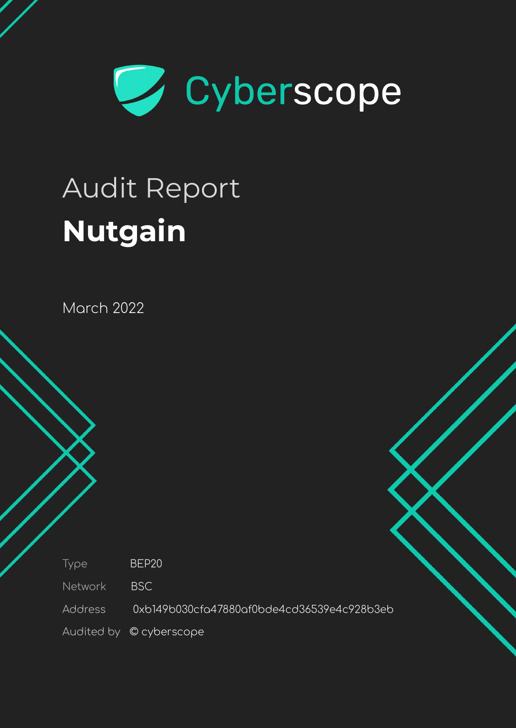

# Audit Report **Nutgain**

March 2022

Type BEP20

Network BSC

Address 0xb149b030cfa47880af0bde4cd36539e4c928b3eb

Audited by © cyberscope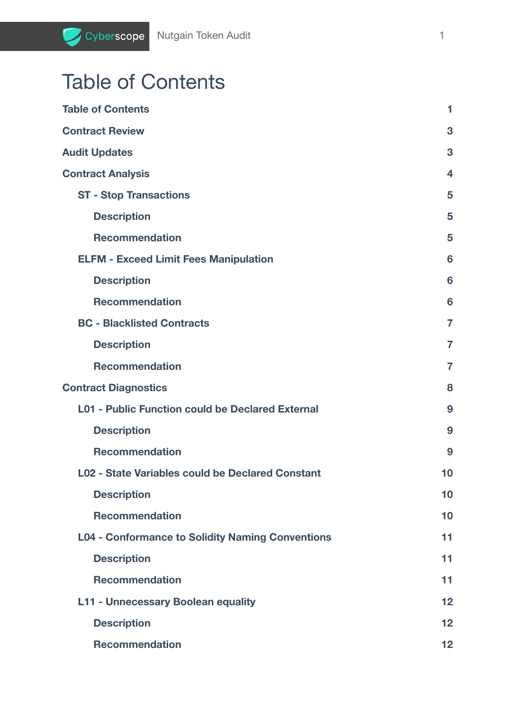# <span id="page-1-0"></span>Table of Contents

Cyberscope

| <b>Table of Contents</b>                                | 1              |
|---------------------------------------------------------|----------------|
| <b>Contract Review</b>                                  | 3              |
| <b>Audit Updates</b>                                    | 3              |
| <b>Contract Analysis</b>                                | 4              |
| <b>ST - Stop Transactions</b>                           | 5              |
| <b>Description</b>                                      | 5              |
| <b>Recommendation</b>                                   | 5              |
| <b>ELFM - Exceed Limit Fees Manipulation</b>            | 6              |
| <b>Description</b>                                      | 6              |
| <b>Recommendation</b>                                   | 6              |
| <b>BC - Blacklisted Contracts</b>                       | $\overline{7}$ |
| <b>Description</b>                                      | $\overline{7}$ |
| <b>Recommendation</b>                                   | $\overline{7}$ |
| <b>Contract Diagnostics</b>                             | 8              |
| <b>L01 - Public Function could be Declared External</b> | 9              |
| <b>Description</b>                                      | 9              |
| <b>Recommendation</b>                                   | 9              |
| <b>L02 - State Variables could be Declared Constant</b> | 10             |
| <b>Description</b>                                      | 10             |
| <b>Recommendation</b>                                   | 10             |
| <b>L04 - Conformance to Solidity Naming Conventions</b> | 11             |
| <b>Description</b>                                      | 11             |
| <b>Recommendation</b>                                   | 11             |
| L11 - Unnecessary Boolean equality                      | 12             |
| <b>Description</b>                                      | 12             |
| <b>Recommendation</b>                                   | 12             |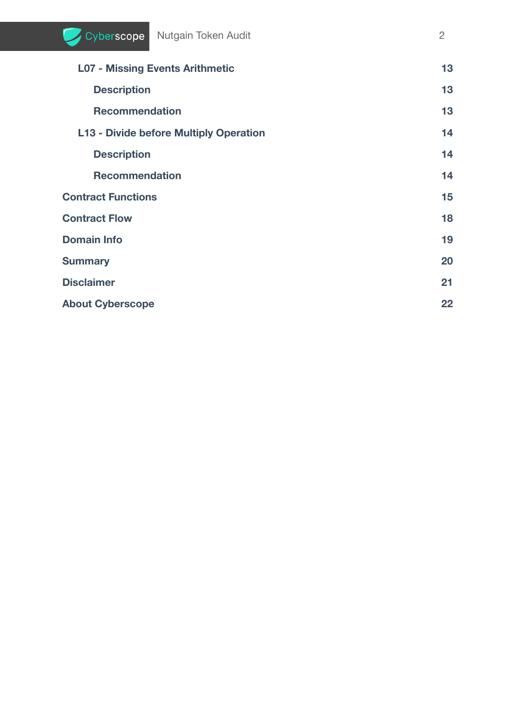

| <b>L07 - Missing Events Arithmetic</b> | 13 |
|----------------------------------------|----|
| <b>Description</b>                     | 13 |
| <b>Recommendation</b>                  | 13 |
| L13 - Divide before Multiply Operation | 14 |
| <b>Description</b>                     | 14 |
| <b>Recommendation</b>                  | 14 |
| <b>Contract Functions</b>              | 15 |
| <b>Contract Flow</b>                   | 18 |
| <b>Domain Info</b>                     | 19 |
| <b>Summary</b>                         | 20 |
| <b>Disclaimer</b>                      | 21 |
| <b>About Cyberscope</b>                | 22 |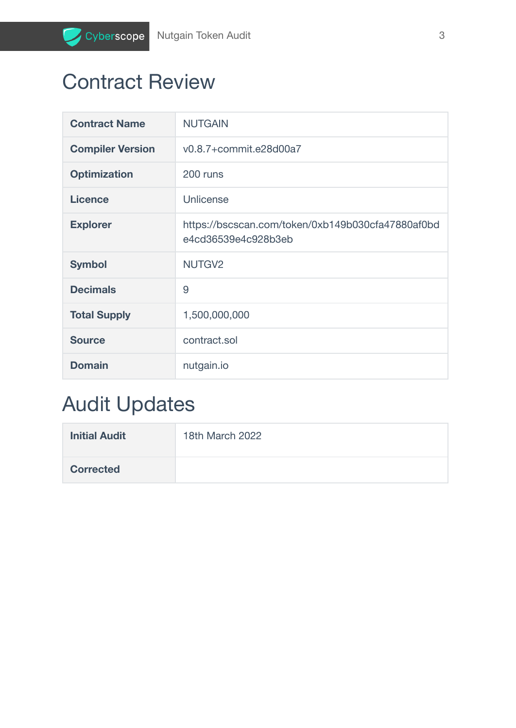## <span id="page-3-0"></span>Contract Review

Cyberscope

| <b>Contract Name</b>    | <b>NUTGAIN</b>                                                           |
|-------------------------|--------------------------------------------------------------------------|
| <b>Compiler Version</b> | v0.8.7+commit.e28d00a7                                                   |
| <b>Optimization</b>     | 200 runs                                                                 |
| <b>Licence</b>          | Unlicense                                                                |
| <b>Explorer</b>         | https://bscscan.com/token/0xb149b030cfa47880af0bd<br>e4cd36539e4c928b3eb |
| <b>Symbol</b>           | NUTGV <sub>2</sub>                                                       |
| <b>Decimals</b>         | 9                                                                        |
| <b>Total Supply</b>     | 1,500,000,000                                                            |
| <b>Source</b>           | contract.sol                                                             |
| <b>Domain</b>           | nutgain.io                                                               |

### <span id="page-3-1"></span>Audit Updates

| <b>Initial Audit</b> | 18th March 2022 |
|----------------------|-----------------|
| <b>Corrected</b>     |                 |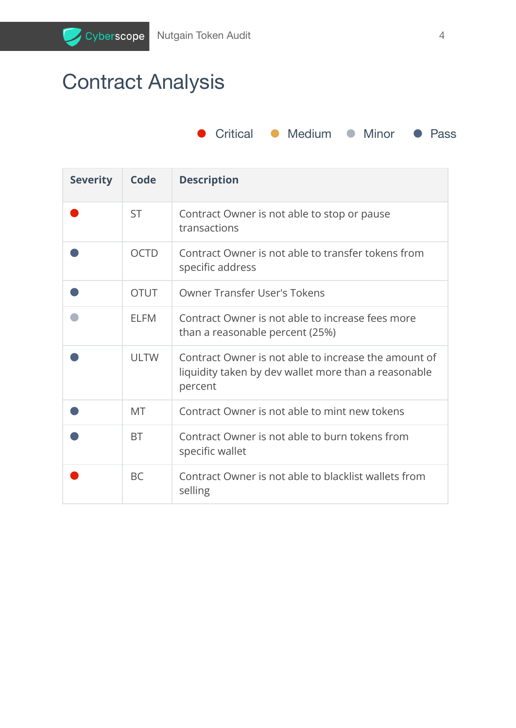# <span id="page-4-0"></span>Contract Analysis

Cyberscope

● Critical ● Medium ● Minor ● Pass

| <b>Severity</b> | Code        | <b>Description</b>                                                                                                      |
|-----------------|-------------|-------------------------------------------------------------------------------------------------------------------------|
|                 | <b>ST</b>   | Contract Owner is not able to stop or pause<br>transactions                                                             |
|                 | <b>OCTD</b> | Contract Owner is not able to transfer tokens from<br>specific address                                                  |
|                 | <b>OTUT</b> | <b>Owner Transfer User's Tokens</b>                                                                                     |
|                 | <b>ELFM</b> | Contract Owner is not able to increase fees more<br>than a reasonable percent (25%)                                     |
|                 | <b>ULTW</b> | Contract Owner is not able to increase the amount of<br>liquidity taken by dev wallet more than a reasonable<br>percent |
|                 | MT          | Contract Owner is not able to mint new tokens                                                                           |
|                 | <b>BT</b>   | Contract Owner is not able to burn tokens from<br>specific wallet                                                       |
|                 | <b>BC</b>   | Contract Owner is not able to blacklist wallets from<br>selling                                                         |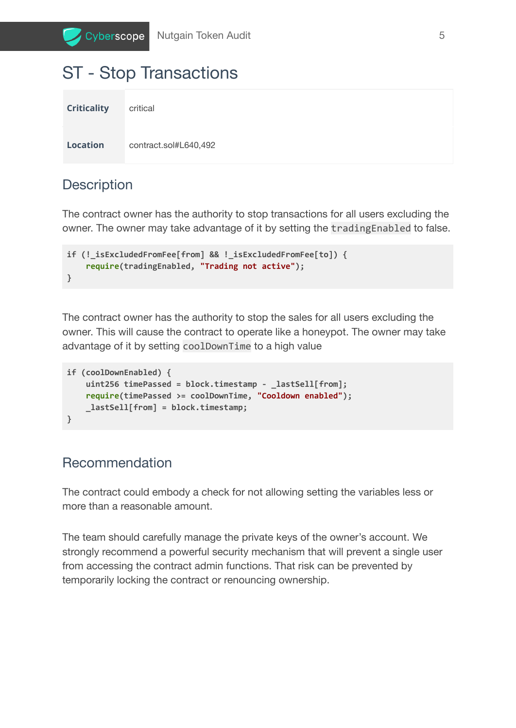### <span id="page-5-0"></span>ST - Stop Transactions

| <b>Criticality</b> | critical              |
|--------------------|-----------------------|
| <b>Location</b>    | contract.sol#L640,492 |

#### <span id="page-5-1"></span>**Description**

The contract owner has the authority to stop transactions for all users excluding the owner. The owner may take advantage of it by setting the tradingEnabled to false.

```
if (!_isExcludedFromFee[from] && !_isExcludedFromFee[to]) {
    require(tradingEnabled, "Trading not active");
}
```
The contract owner has the authority to stop the sales for all users excluding the owner. This will cause the contract to operate like a honeypot. The owner may take advantage of it by setting coolDownTime to a high value

```
if (coolDownEnabled) {
    uint256 timePassed = block.timestamp - _lastSell[from];
   require(timePassed >= coolDownTime, "Cooldown enabled");
   _lastSell[from] = block.timestamp;
}
```
### <span id="page-5-2"></span>Recommendation

The contract could embody a check for not allowing setting the variables less or more than a reasonable amount.

The team should carefully manage the private keys of the owner's account. We strongly recommend a powerful security mechanism that will prevent a single user from accessing the contract admin functions. That risk can be prevented by temporarily locking the contract or renouncing ownership.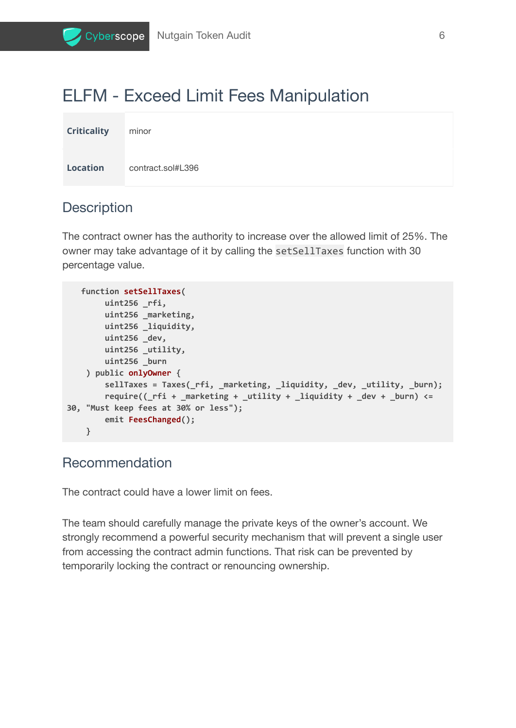### <span id="page-6-0"></span>ELFM - Exceed Limit Fees Manipulation

| <b>Criticality</b> | minor             |
|--------------------|-------------------|
| <b>Location</b>    | contract.sol#L396 |

#### <span id="page-6-1"></span>**Description**

The contract owner has the authority to increase over the allowed limit of 25%. The owner may take advantage of it by calling the setSellTaxes function with 30 percentage value.

```
function setSellTaxes(
       uint256 _rfi,
       uint256 _marketing,
       uint256 _liquidity,
       uint256 _dev,
       uint256 _utility,
       uint256 _burn
    ) public onlyOwner {
        sellTaxes = Taxes(_rfi, _marketing, _liquidity, _dev, _utility, _burn);
        require((_rfi + _marketing + _utility + _liquidity + _dev + _burn) <=
30, "Must keep fees at 30% or less");
       emit FeesChanged();
    }
```
### <span id="page-6-2"></span>Recommendation

The contract could have a lower limit on fees.

The team should carefully manage the private keys of the owner's account. We strongly recommend a powerful security mechanism that will prevent a single user from accessing the contract admin functions. That risk can be prevented by temporarily locking the contract or renouncing ownership.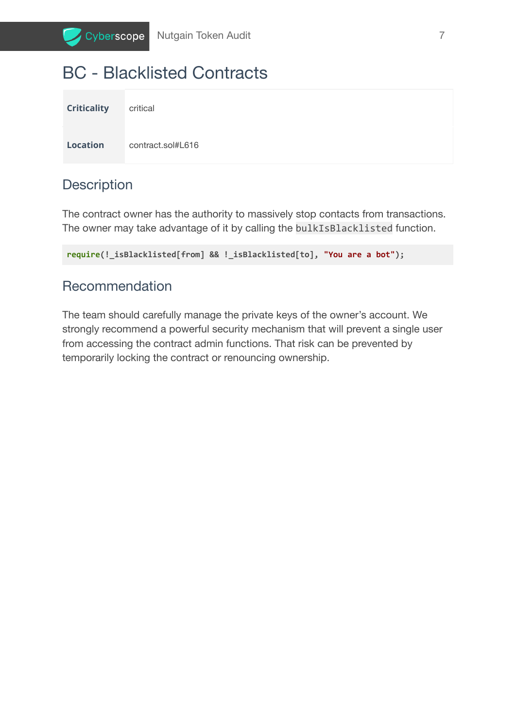### <span id="page-7-0"></span>BC - Blacklisted Contracts

| <b>Criticality</b> | critical          |
|--------------------|-------------------|
| <b>Location</b>    | contract.sol#L616 |

#### <span id="page-7-1"></span>**Description**

The contract owner has the authority to massively stop contacts from transactions. The owner may take advantage of it by calling the bulkIsBlacklisted function.

**require(!\_isBlacklisted[from] && !\_isBlacklisted[to], "You are a bot");**

#### <span id="page-7-2"></span>Recommendation

The team should carefully manage the private keys of the owner's account. We strongly recommend a powerful security mechanism that will prevent a single user from accessing the contract admin functions. That risk can be prevented by temporarily locking the contract or renouncing ownership.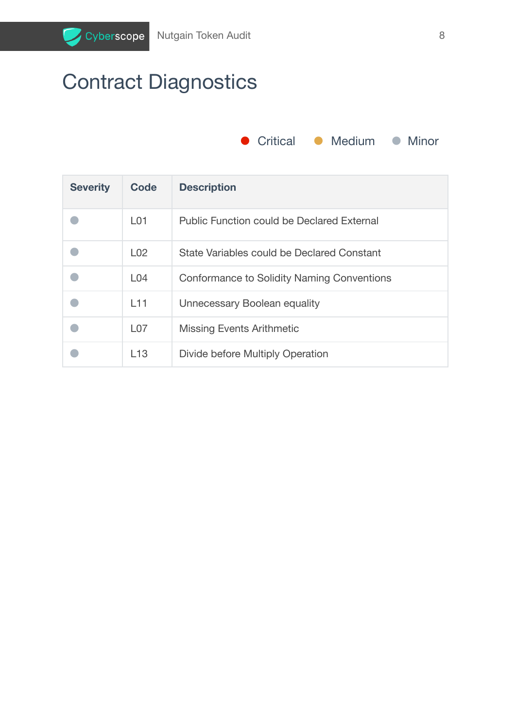# <span id="page-8-0"></span>Contract Diagnostics

Cyberscope



| <b>Severity</b> | Code            | <b>Description</b>                                |
|-----------------|-----------------|---------------------------------------------------|
|                 | L <sub>01</sub> | Public Function could be Declared External        |
|                 | L <sub>02</sub> | State Variables could be Declared Constant        |
|                 | L <sub>04</sub> | <b>Conformance to Solidity Naming Conventions</b> |
|                 | L11             | Unnecessary Boolean equality                      |
|                 | L <sub>07</sub> | <b>Missing Events Arithmetic</b>                  |
|                 | L13             | Divide before Multiply Operation                  |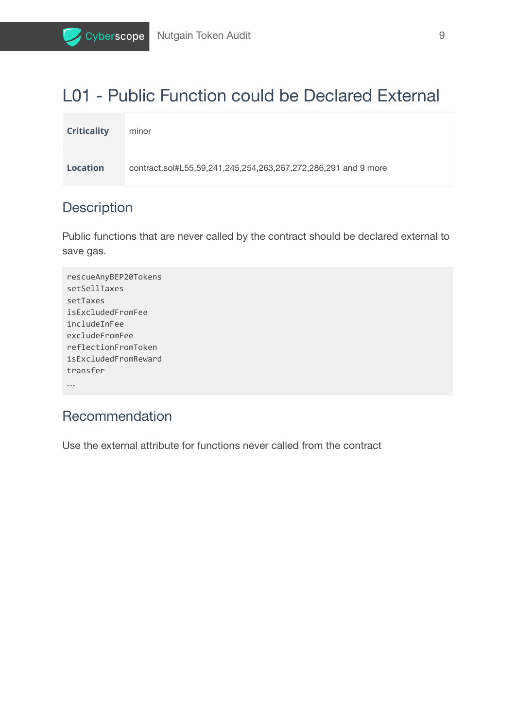### <span id="page-9-0"></span>L01 - Public Function could be Declared External

| <b>Criticality</b> | minor                                                          |
|--------------------|----------------------------------------------------------------|
| <b>Location</b>    | contract.sol#L55,59,241,245,254,263,267,272,286,291 and 9 more |

### <span id="page-9-1"></span>**Description**

Public functions that are never called by the contract should be declared external to save gas.

```
rescueAnyBEP20Tokens
setSellTaxes
setTaxes
isExcludedFromFee
includeInFee
excludeFromFee
reflectionFromToken
isExcludedFromReward
transfer
...
```
#### <span id="page-9-2"></span>Recommendation

Use the external attribute for functions never called from the contract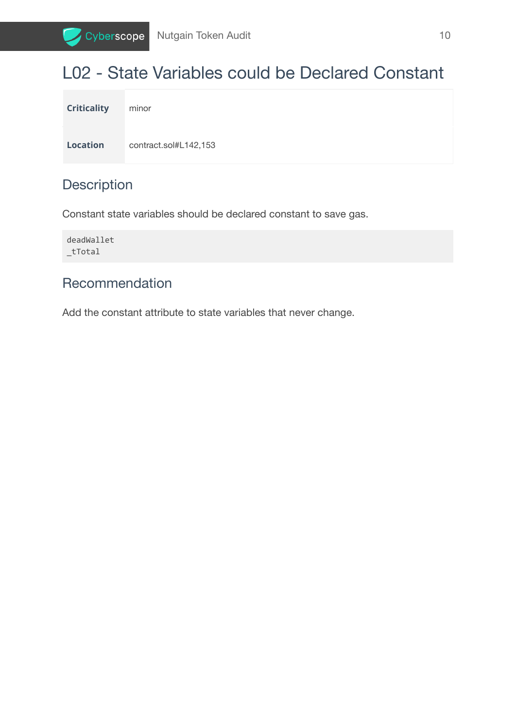

### <span id="page-10-0"></span>L02 - State Variables could be Declared Constant

| <b>Criticality</b> | minor                 |
|--------------------|-----------------------|
| Location           | contract.sol#L142,153 |

#### <span id="page-10-1"></span>**Description**

Constant state variables should be declared constant to save gas.

deadWallet \_tTotal

#### <span id="page-10-2"></span>Recommendation

Add the constant attribute to state variables that never change.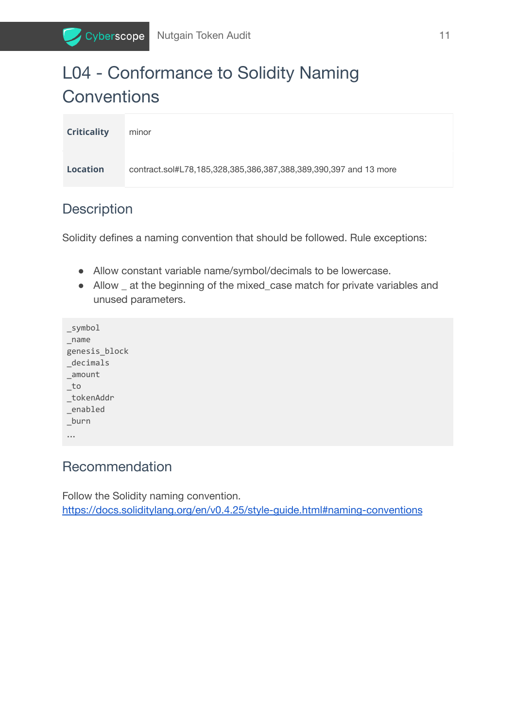### <span id="page-11-0"></span>L04 - Conformance to Solidity Naming **Conventions**

| <b>Criticality</b> | minor                                                            |
|--------------------|------------------------------------------------------------------|
| <b>Location</b>    | contract.sol#L78,185,328,385,386,387,388,389,390,397 and 13 more |

#### <span id="page-11-1"></span>**Description**

Cyberscope

Solidity defines a naming convention that should be followed. Rule exceptions:

- Allow constant variable name/symbol/decimals to be lowercase.
- Allow at the beginning of the mixed case match for private variables and unused parameters.

```
_symbol
_name
genesis_block
_decimals
_amount
_to
_tokenAddr
_enabled
_burn
...
```
### <span id="page-11-2"></span>Recommendation

Follow the Solidity naming convention. [https://docs.soliditylang.org/en/v0.4.25/style-guide.html#naming-conventions](https://docs.soliditylang.org/en/v0.4.25/style-guide.html#naming-convention)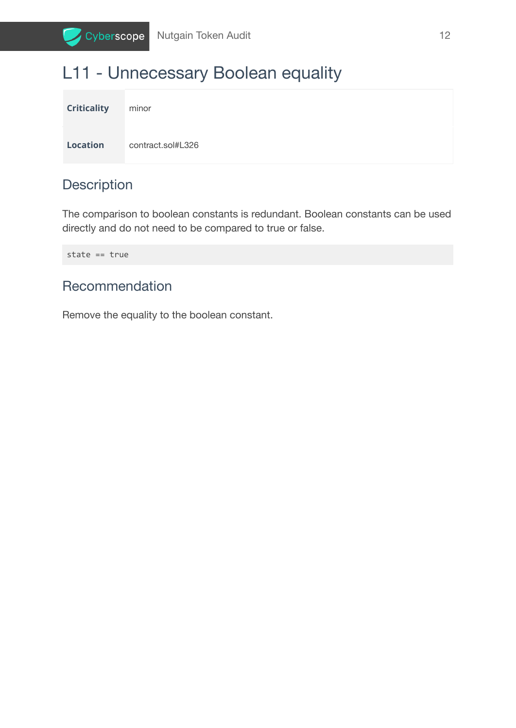

### <span id="page-12-0"></span>L11 - Unnecessary Boolean equality

| <b>Criticality</b> | minor             |
|--------------------|-------------------|
| <b>Location</b>    | contract.sol#L326 |

#### <span id="page-12-1"></span>**Description**

The comparison to boolean constants is redundant. Boolean constants can be used directly and do not need to be compared to true or false.

state == true

#### <span id="page-12-2"></span>Recommendation

Remove the equality to the boolean constant.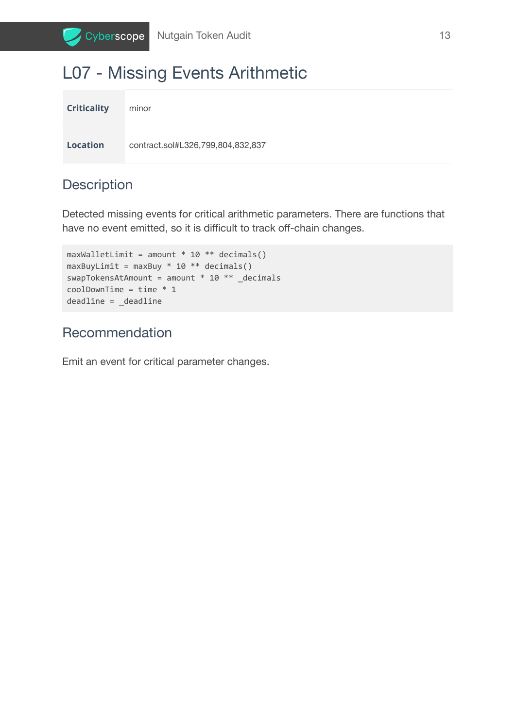

### <span id="page-13-0"></span>L07 - Missing Events Arithmetic

| <b>Criticality</b> | minor                             |
|--------------------|-----------------------------------|
| <b>Location</b>    | contract.sol#L326,799,804,832,837 |

#### <span id="page-13-1"></span>**Description**

Detected missing events for critical arithmetic parameters. There are functions that have no event emitted, so it is difficult to track off-chain changes.

```
maxWalletLimit = amount * 10 ** decimals()maxBuyLimit = maxBuy * 10 ** decimals()swapTokensAtAmount = amount * 10 ** _decimals
coolDownTime = time * 1deadline = _deadline
```
### <span id="page-13-2"></span>Recommendation

Emit an event for critical parameter changes.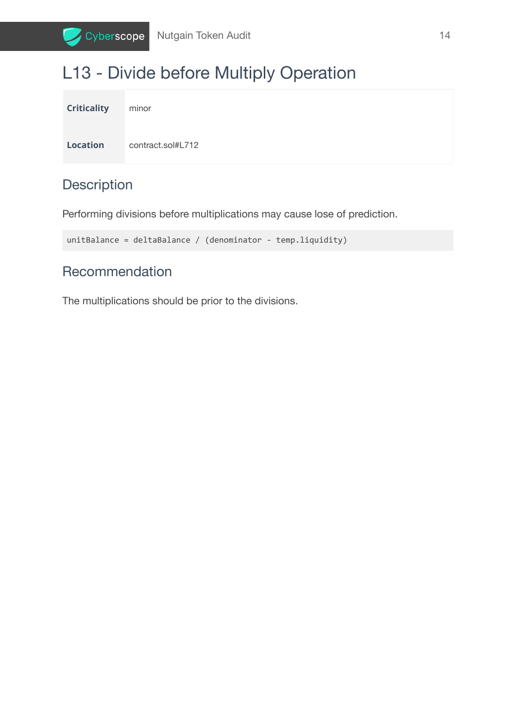

### <span id="page-14-0"></span>L13 - Divide before Multiply Operation

| <b>Criticality</b> | minor             |
|--------------------|-------------------|
| <b>Location</b>    | contract.sol#L712 |

#### <span id="page-14-1"></span>**Description**

Performing divisions before multiplications may cause lose of prediction.

unitBalance = deltaBalance / (denominator - temp.liquidity)

#### <span id="page-14-2"></span>Recommendation

The multiplications should be prior to the divisions.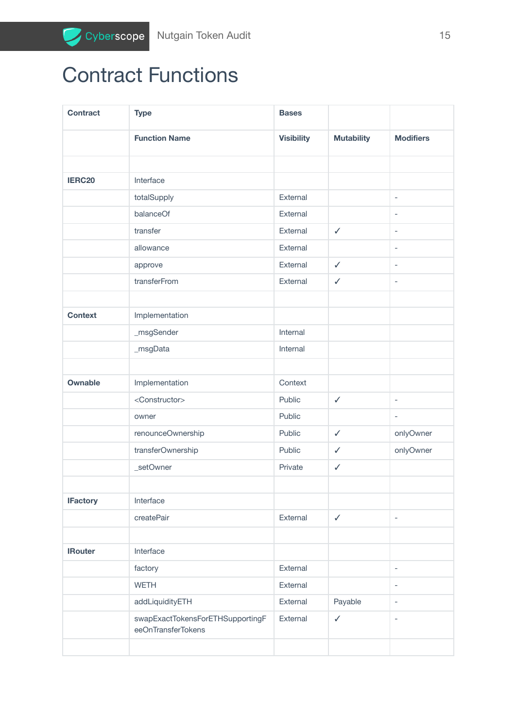# <span id="page-15-0"></span>Contract Functions

| <b>Contract</b>    | <b>Type</b>                                            | <b>Bases</b>      |                   |                          |
|--------------------|--------------------------------------------------------|-------------------|-------------------|--------------------------|
|                    | <b>Function Name</b>                                   | <b>Visibility</b> | <b>Mutability</b> | <b>Modifiers</b>         |
|                    |                                                        |                   |                   |                          |
| IERC <sub>20</sub> | Interface                                              |                   |                   |                          |
|                    | totalSupply                                            | External          |                   | $\overline{\phantom{a}}$ |
|                    | balanceOf                                              | External          |                   | $\overline{a}$           |
|                    | transfer                                               | External          | $\checkmark$      | ÷,                       |
|                    | allowance                                              | External          |                   | $\overline{\phantom{a}}$ |
|                    | approve                                                | External          | $\checkmark$      | $\overline{\phantom{a}}$ |
|                    | transferFrom                                           | External          | $\checkmark$      | $\overline{\phantom{a}}$ |
|                    |                                                        |                   |                   |                          |
| <b>Context</b>     | Implementation                                         |                   |                   |                          |
|                    | _msgSender                                             | Internal          |                   |                          |
|                    | _msgData                                               | Internal          |                   |                          |
|                    |                                                        |                   |                   |                          |
| Ownable            | Implementation                                         | Context           |                   |                          |
|                    | <constructor></constructor>                            | Public            | $\checkmark$      | $\overline{\phantom{a}}$ |
|                    | owner                                                  | Public            |                   | $\overline{\phantom{a}}$ |
|                    | renounceOwnership                                      | Public            | $\checkmark$      | onlyOwner                |
|                    | transferOwnership                                      | Public            | $\checkmark$      | onlyOwner                |
|                    | _setOwner                                              | Private           | $\checkmark$      |                          |
|                    |                                                        |                   |                   |                          |
| <b>IFactory</b>    | Interface                                              |                   |                   |                          |
|                    | createPair                                             | External          | $\checkmark$      | ÷,                       |
|                    |                                                        |                   |                   |                          |
| <b>IRouter</b>     | Interface                                              |                   |                   |                          |
|                    | factory                                                | External          |                   | $\overline{\phantom{a}}$ |
|                    | <b>WETH</b>                                            | External          |                   | $\overline{\phantom{a}}$ |
|                    | addLiquidityETH                                        | External          | Payable           | $\qquad \qquad -$        |
|                    | swapExactTokensForETHSupportingF<br>eeOnTransferTokens | External          | $\checkmark$      | $\overline{a}$           |
|                    |                                                        |                   |                   |                          |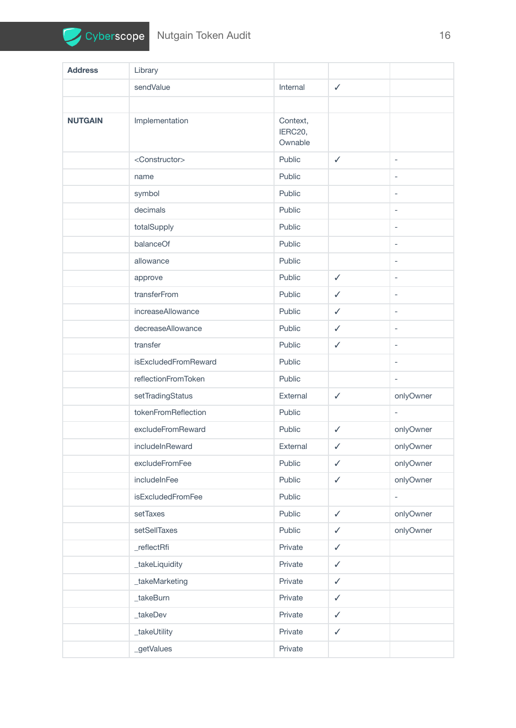| <b>Address</b> | Library                     |                                |              |                          |
|----------------|-----------------------------|--------------------------------|--------------|--------------------------|
|                | sendValue                   | Internal                       | $\checkmark$ |                          |
|                |                             |                                |              |                          |
| <b>NUTGAIN</b> | Implementation              | Context,<br>IERC20,<br>Ownable |              |                          |
|                | <constructor></constructor> | Public                         | $\checkmark$ | $\overline{\phantom{a}}$ |
|                | name                        | Public                         |              | $\overline{\phantom{a}}$ |
|                | symbol                      | Public                         |              | $\overline{\phantom{a}}$ |
|                | decimals                    | Public                         |              | $\overline{\phantom{a}}$ |
|                | totalSupply                 | Public                         |              | $\overline{\phantom{a}}$ |
|                | balanceOf                   | Public                         |              | $\overline{a}$           |
|                | allowance                   | Public                         |              | $\overline{\phantom{a}}$ |
|                | approve                     | Public                         | $\checkmark$ | $\bar{a}$                |
|                | transferFrom                | Public                         | ✓            | $\overline{\phantom{a}}$ |
|                | increaseAllowance           | Public                         | ✓            | $\overline{\phantom{a}}$ |
|                | decreaseAllowance           | Public                         | ✓            | $\overline{\phantom{a}}$ |
|                | transfer                    | Public                         | $\checkmark$ | $\overline{\phantom{a}}$ |
|                | isExcludedFromReward        | Public                         |              | $\overline{\phantom{a}}$ |
|                | reflectionFromToken         | Public                         |              | $\overline{\phantom{a}}$ |
|                | setTradingStatus            | External                       | ✓            | onlyOwner                |
|                | tokenFromReflection         | Public                         |              | ÷,                       |
|                | excludeFromReward           | Public                         | $\checkmark$ | onlyOwner                |
|                | includeInReward             | External                       | ✓            | onlyOwner                |
|                | excludeFromFee              | Public                         | ✓            | onlyOwner                |
|                | includeInFee                | Public                         | $\checkmark$ | onlyOwner                |
|                | isExcludedFromFee           | Public                         |              | $\overline{\phantom{a}}$ |
|                | setTaxes                    | Public                         | $\checkmark$ | onlyOwner                |
|                | setSellTaxes                | Public                         | $\checkmark$ | onlyOwner                |
|                | _reflectRfi                 | Private                        | $\checkmark$ |                          |
|                | _takeLiquidity              | Private                        | $\checkmark$ |                          |
|                | _takeMarketing              | Private                        | $\checkmark$ |                          |
|                | _takeBurn                   | Private                        | $\checkmark$ |                          |
|                | _takeDev                    | Private                        | $\checkmark$ |                          |
|                | _takeUtility                | Private                        | $\checkmark$ |                          |
|                | _getValues                  | Private                        |              |                          |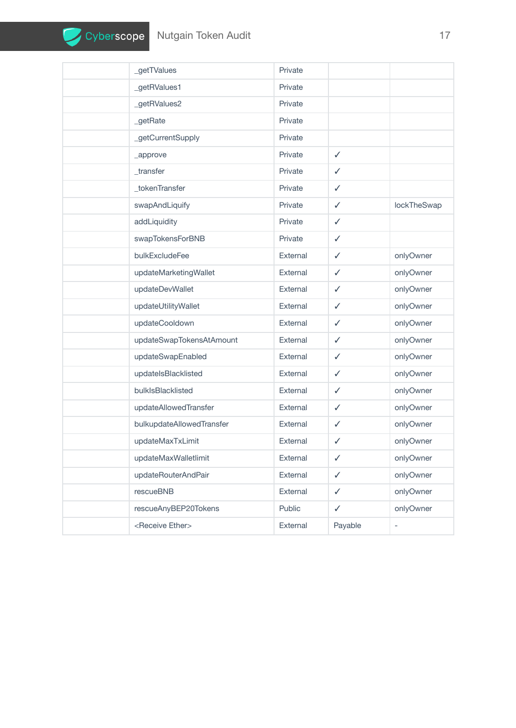| _getTValues                  | Private  |              |                          |
|------------------------------|----------|--------------|--------------------------|
| _getRValues1                 | Private  |              |                          |
| _getRValues2                 | Private  |              |                          |
| _getRate                     | Private  |              |                          |
| _getCurrentSupply            | Private  |              |                          |
| _approve                     | Private  | $\checkmark$ |                          |
| _transfer                    | Private  | $\checkmark$ |                          |
| _tokenTransfer               | Private  | ✓            |                          |
| swapAndLiquify               | Private  | $\checkmark$ | lockTheSwap              |
| addLiquidity                 | Private  | $\checkmark$ |                          |
| swapTokensForBNB             | Private  | $\checkmark$ |                          |
| bulkExcludeFee               | External | ✓            | onlyOwner                |
| updateMarketingWallet        | External | ✓            | onlyOwner                |
| updateDevWallet              | External | ✓            | onlyOwner                |
| updateUtilityWallet          | External | $\checkmark$ | onlyOwner                |
| updateCooldown               | External | ✓            | onlyOwner                |
| updateSwapTokensAtAmount     | External | ✓            | onlyOwner                |
| updateSwapEnabled            | External | ✓            | onlyOwner                |
| updatelsBlacklisted          | External | $\checkmark$ | onlyOwner                |
| bulklsBlacklisted            | External | ✓            | onlyOwner                |
| updateAllowedTransfer        | External | ✓            | onlyOwner                |
| bulkupdateAllowedTransfer    | External | ✓            | onlyOwner                |
| updateMaxTxLimit             | External | ✓            | onlyOwner                |
| updateMaxWalletlimit         | External | ✓            | onlyOwner                |
| updateRouterAndPair          | External | $\checkmark$ | onlyOwner                |
| rescueBNB                    | External | $\checkmark$ | onlyOwner                |
| rescueAnyBEP20Tokens         | Public   | $\checkmark$ | onlyOwner                |
| <receive ether=""></receive> | External | Payable      | $\overline{\phantom{0}}$ |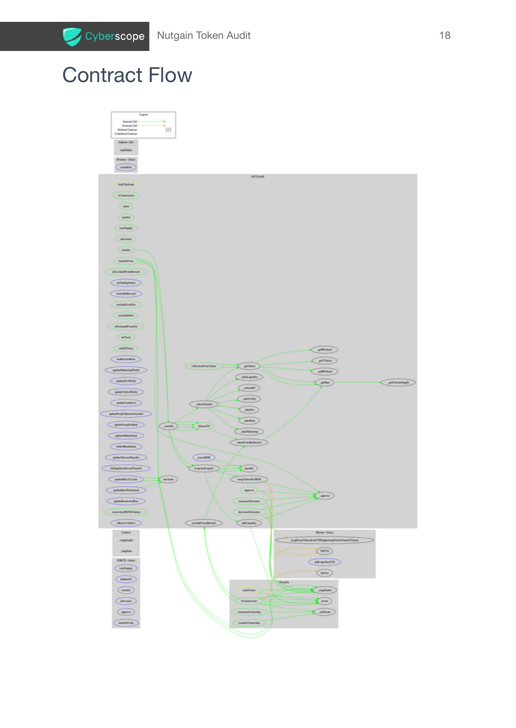# <span id="page-18-0"></span>Contract Flow

Cyberscope

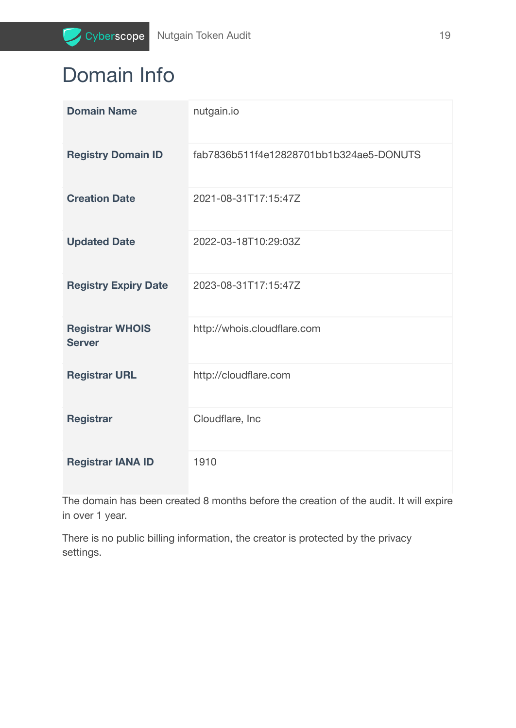# <span id="page-19-0"></span>Domain Info

| <b>Domain Name</b>                      | nutgain.io                              |
|-----------------------------------------|-----------------------------------------|
| <b>Registry Domain ID</b>               | fab7836b511f4e12828701bb1b324ae5-DONUTS |
| <b>Creation Date</b>                    | 2021-08-31T17:15:47Z                    |
| <b>Updated Date</b>                     | 2022-03-18T10:29:03Z                    |
| <b>Registry Expiry Date</b>             | 2023-08-31T17:15:47Z                    |
| <b>Registrar WHOIS</b><br><b>Server</b> | http://whois.cloudflare.com             |
| <b>Registrar URL</b>                    | http://cloudflare.com                   |
| <b>Registrar</b>                        | Cloudflare, Inc                         |
| <b>Registrar IANA ID</b>                | 1910                                    |

The domain has been created 8 months before the creation of the audit. It will expire in over 1 year.

There is no public billing information, the creator is protected by the privacy settings.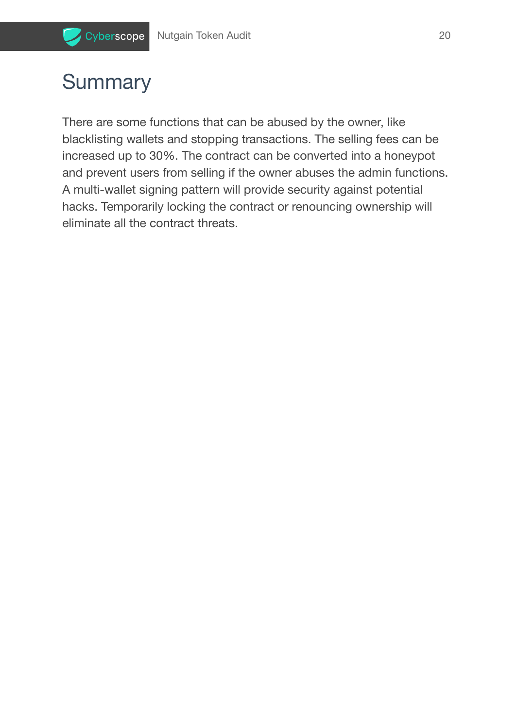

### <span id="page-20-0"></span>**Summary**

There are some functions that can be abused by the owner, like blacklisting wallets and stopping transactions. The selling fees can be increased up to 30%. The contract can be converted into a honeypot and prevent users from selling if the owner abuses the admin functions. A multi-wallet signing pattern will provide security against potential hacks. Temporarily locking the contract or renouncing ownership will eliminate all the contract threats.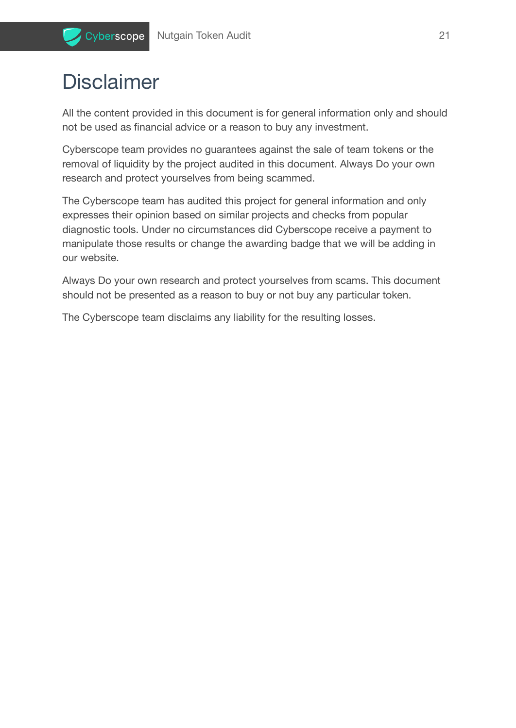

### <span id="page-21-0"></span>**Disclaimer**

All the content provided in this document is for general information only and should not be used as financial advice or a reason to buy any investment.

Cyberscope team provides no guarantees against the sale of team tokens or the removal of liquidity by the project audited in this document. Always Do your own research and protect yourselves from being scammed.

The Cyberscope team has audited this project for general information and only expresses their opinion based on similar projects and checks from popular diagnostic tools. Under no circumstances did Cyberscope receive a payment to manipulate those results or change the awarding badge that we will be adding in our website.

Always Do your own research and protect yourselves from scams. This document should not be presented as a reason to buy or not buy any particular token.

The Cyberscope team disclaims any liability for the resulting losses.